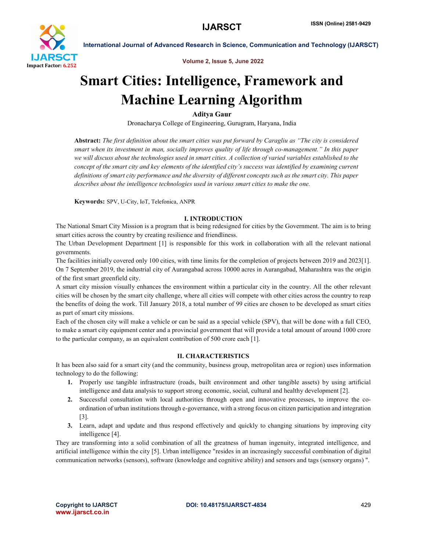

Volume 2, Issue 5, June 2022

# Smart Cities: Intelligence, Framework and Machine Learning Algorithm

Aditya Gaur

Dronacharya College of Engineering, Gurugram, Haryana, India

Abstract: *The first definition about the smart cities was put forward by Caragliu as "The city is considered smart when its investment in man, socially improves quality of life through co-management." In this paper we will discuss about the technologies used in smart cities. A collection of varied variables established to the concept of the smart city and key elements of the identified city's success was identified by examining current definitions of smart city performance and the diversity of different concepts such as the smart city. This paper describes about the intelligence technologies used in various smart cities to make the one.*

Keywords: SPV, U-City, IoT, Telefonica, ANPR

# I. INTRODUCTION

The National Smart City Mission is a program that is being redesigned for cities by the Government. The aim is to bring smart cities across the country by creating resilience and friendliness.

The Urban Development Department [1] is responsible for this work in collaboration with all the relevant national governments.

The facilities initially covered only 100 cities, with time limits for the completion of projects between 2019 and 2023[1]. On 7 September 2019, the industrial city of Aurangabad across 10000 acres in Aurangabad, Maharashtra was the origin of the first smart greenfield city.

A smart city mission visually enhances the environment within a particular city in the country. All the other relevant cities will be chosen by the smart city challenge, where all cities will compete with other cities across the country to reap the benefits of doing the work. Till January 2018, a total number of 99 cities are chosen to be developed as smart cities as part of smart city missions.

Each of the chosen city will make a vehicle or can be said as a special vehicle (SPV), that will be done with a full CEO, to make a smart city equipment center and a provincial government that will provide a total amount of around 1000 crore to the particular company, as an equivalent contribution of 500 crore each [1].

# II. CHARACTERISTICS

It has been also said for a smart city (and the community, business group, metropolitan area or region) uses information technology to do the following:

- 1. Properly use tangible infrastructure (roads, built environment and other tangible assets) by using artificial intelligence and data analysis to support strong economic, social, cultural and healthy development [2].
- 2. Successful consultation with local authorities through open and innovative processes, to improve the coordination of urban institutions through e-governance, with a strong focus on citizen participation and integration [3].
- 3. Learn, adapt and update and thus respond effectively and quickly to changing situations by improving city intelligence [4].

They are transforming into a solid combination of all the greatness of human ingenuity, integrated intelligence, and artificial intelligence within the city [5]. Urban intelligence "resides in an increasingly successful combination of digital communication networks (sensors), software (knowledge and cognitive ability) and sensors and tags (sensory organs) ".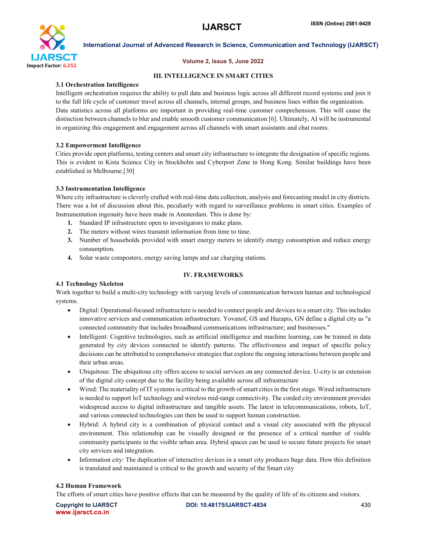

# Volume 2, Issue 5, June 2022

# III. INTELLIGENCE IN SMART CITIES

# 3.1 Orchestration Intelligence

Intelligent orchestration requires the ability to pull data and business logic across all different record systems and join it to the full life cycle of customer travel across all channels, internal groups, and business lines within the organization. Data statistics across all platforms are important in providing real-time customer comprehension. This will cause the distinction between channels to blur and enable smooth customer communication [6]. Ultimately, AI will be instrumental in organizing this engagement and engagement across all channels with smart assistants and chat rooms.

# 3.2 Empowerment Intelligence

Cities provide open platforms, testing centers and smart city infrastructure to integrate the designation of specific regions. This is evident in Kista Science City in Stockholm and Cyberport Zone in Hong Kong. Similar buildings have been established in Melbourne.[30]

# 3.3 Instrumentation Intelligence

Where city infrastructure is cleverly crafted with real-time data collection, analysis and forecasting model in city districts. There was a lot of discussion about this, peculiarly with regard to surveillance problems in smart cities. Examples of Instrumentation ingenuity have been made in Amsterdam. This is done by:

- 1. Standard IP infrastructure open to investigators to make plans.
- 2. The meters without wires transmit information from time to time.
- 3. Number of households provided with smart energy meters to identify energy consumption and reduce energy consumption.
- 4. Solar waste composters, energy saving lamps and car charging stations.

# IV. FRAMEWORKS

# 4.1 Technology Skeleton

Work together to build a multi-city technology with varying levels of communication between human and technological systems.

- Digital: Operational-focused infrastructure is needed to connect people and devices to a smart city. This includes innovative services and communication infrastructure. Yovanof, GS and Hazapis, GN define a digital city as "a connected community that includes broadband communications infrastructure; and businesses."
- Intelligent: Cognitive technologies, such as artificial intelligence and machine learning, can be trained in data generated by city devices connected to identify patterns. The effectiveness and impact of specific policy decisions can be attributed to comprehensive strategies that explore the ongoing interactions between people and their urban areas.
- Ubiquitous: The ubiquitous city offers access to social services on any connected device. U-city is an extension of the digital city concept due to the facility being available across all infrastructure
- Wired: The materiality of IT systems is critical to the growth of smart cities in the first stage. Wired infrastructure is needed to support IoT technology and wireless mid-range connectivity. The corded city environment provides widespread access to digital infrastructure and tangible assets. The latest in telecommunications, robots, IoT, and various connected technologies can then be used to support human construction.
- Hybrid: A hybrid city is a combination of physical contact and a visual city associated with the physical environment. This relationship can be visually designed or the presence of a critical number of visible community participants in the visible urban area. Hybrid spaces can be used to secure future projects for smart city services and integration.
- Information city: The duplication of interactive devices in a smart city produces huge data. How this definition is translated and maintained is critical to the growth and security of the Smart city

# 4.2 Human Framework

The efforts of smart cities have positive effects that can be measured by the quality of life of its citizens and visitors.

www.ijarsct.co.in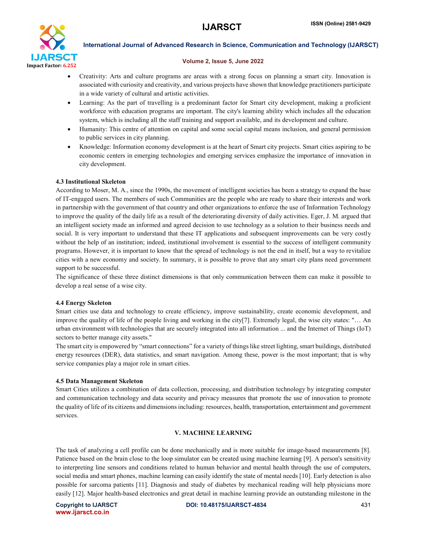

# Volume 2, Issue 5, June 2022

- Creativity: Arts and culture programs are areas with a strong focus on planning a smart city. Innovation is associated with curiosity and creativity, and various projects have shown that knowledge practitioners participate in a wide variety of cultural and artistic activities.
- Learning: As the part of travelling is a predominant factor for Smart city development, making a proficient workforce with education programs are important. The city's learning ability which includes all the education system, which is including all the staff training and support available, and its development and culture.
- Humanity: This centre of attention on capital and some social capital means inclusion, and general permission to public services in city planning.
- Knowledge: Information economy development is at the heart of Smart city projects. Smart cities aspiring to be economic centers in emerging technologies and emerging services emphasize the importance of innovation in city development.

# 4.3 Institutional Skeleton

According to Moser, M. A., since the 1990s, the movement of intelligent societies has been a strategy to expand the base of IT-engaged users. The members of such Communities are the people who are ready to share their interests and work in partnership with the government of that country and other organizations to enforce the use of Information Technology to improve the quality of the daily life as a result of the deteriorating diversity of daily activities. Eger, J. M. argued that an intelligent society made an informed and agreed decision to use technology as a solution to their business needs and social. It is very important to understand that these IT applications and subsequent improvements can be very costly without the help of an institution; indeed, institutional involvement is essential to the success of intelligent community programs. However, it is important to know that the spread of technology is not the end in itself, but a way to revitalize cities with a new economy and society. In summary, it is possible to prove that any smart city plans need government support to be successful.

The significance of these three distinct dimensions is that only communication between them can make it possible to develop a real sense of a wise city.

# 4.4 Energy Skeleton

Smart cities use data and technology to create efficiency, improve sustainability, create economic development, and improve the quality of life of the people living and working in the city[7]. Extremely legal, the wise city states: "… An urban environment with technologies that are securely integrated into all information ... and the Internet of Things (IoT) sectors to better manage city assets."

The smart city is empowered by "smart connections" for a variety of things like street lighting, smart buildings, distributed energy resources (DER), data statistics, and smart navigation. Among these, power is the most important; that is why service companies play a major role in smart cities.

# 4.5 Data Management Skeleton

Smart Cities utilizes a combination of data collection, processing, and distribution technology by integrating computer and communication technology and data security and privacy measures that promote the use of innovation to promote the quality of life of its citizens and dimensions including: resources, health, transportation, entertainment and government services.

# V. MACHINE LEARNING

The task of analyzing a cell profile can be done mechanically and is more suitable for image-based measurements [8]. Patience based on the brain close to the loop simulator can be created using machine learning [9]. A person's sensitivity to interpreting line sensors and conditions related to human behavior and mental health through the use of computers, social media and smart phones, machine learning can easily identify the state of mental needs [10]. Early detection is also possible for sarcoma patients [11]. Diagnosis and study of diabetes by mechanical reading will help physicians more easily [12]. Major health-based electronics and great detail in machine learning provide an outstanding milestone in the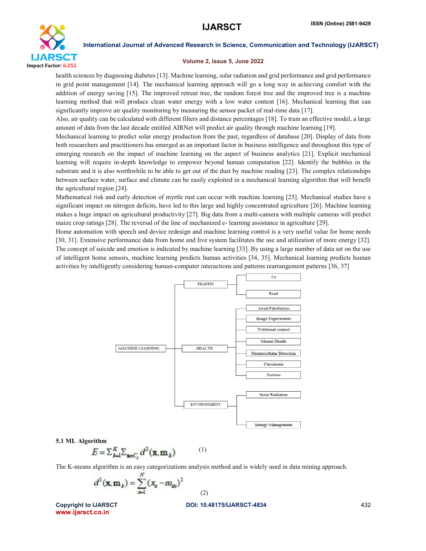

### Volume 2, Issue 5, June 2022

health sciences by diagnosing diabetes [13]. Machine learning, solar radiation and grid performance and grid performance in grid point management [14]. The mechanical learning approach will go a long way in achieving comfort with the addition of energy saving [15]. The improved retreat tree, the random forest tree and the improved tree is a machine learning method that will produce clean water energy with a low water content [16]. Mechanical learning that can significantly improve air quality monitoring by measuring the sensor packet of real-time data [17].

Also, air quality can be calculated with different filters and distance percentages [18]. To train an effective model, a large amount of data from the last decade entitled AIRNet will predict air quality through machine learning [19].

Mechanical learning to predict solar energy production from the past, regardless of database [20]. Display of data from both researchers and practitioners has emerged as an important factor in business intelligence and throughout this type of emerging research on the impact of machine learning on the aspect of business analytics [21]. Explicit mechanical learning will require in-depth knowledge to empower beyond human computation [22]. Identify the bubbles in the substrate and it is also worthwhile to be able to get out of the dust by machine reading [23]. The complex relationships between surface water, surface and climate can be easily exploited in a mechanical learning algorithm that will benefit the agricultural region [24].

Mathematical risk and early detection of myrtle rust can occur with machine learning [25]. Mechanical studies have a significant impact on nitrogen deficits, have led to this large and highly concentrated agriculture [26]. Machine learning makes a huge impact on agricultural productivity [27]. Big data from a multi-camera with multiple cameras will predict maize crop ratings [28]. The reversal of the line of mechanized e- learning assistance in agriculture [29].

Home automation with speech and device redesign and machine learning control is a very useful value for home needs [30, 31]. Extensive performance data from home and live system facilitates the use and utilization of more energy [32]. The concept of suicide and emotion is indicated by machine learning [33]. By using a large number of data set on the use of intelligent home sensors, machine learning predicts human activities [34, 35]. Mechanical learning predicts human activities by intelligently considering human-computer interactions and patterns rearrangement patterns [36, 37]



### 5.1 ML Algorithm

$$
E = \sum_{k=1}^{K} \sum_{\mathbf{x} \in C_k} d^2(\mathbf{x}, \mathbf{m}_k) \tag{1}
$$

The K-means algorithm is an easy categorizations analysis method and is widely used in data mining approach.

$$
d^2(\mathbf{x}, \mathbf{m}_k) = \sum_{p=1}^N (x_p - m_{kn})^2
$$

(2)

www.ijarsct.co.in

### Copyright to IJARSCT DOI: 10.48175/IJARSCT-4834 432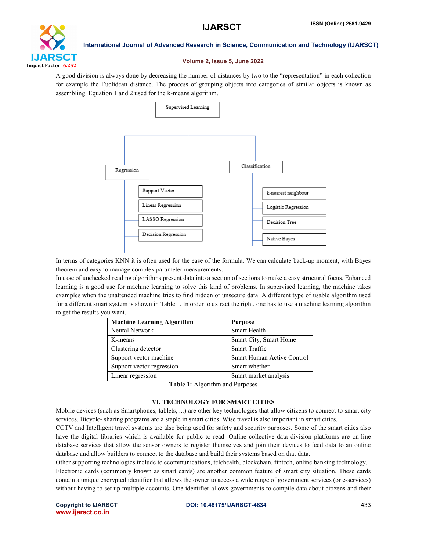

### Volume 2, Issue 5, June 2022

A good division is always done by decreasing the number of distances by two to the "representation" in each collection for example the Euclidean distance. The process of grouping objects into categories of similar objects is known as assembling. Equation 1 and 2 used for the k-means algorithm.



In terms of categories KNN it is often used for the ease of the formula. We can calculate back-up moment, with Bayes theorem and easy to manage complex parameter measurements.

In case of unchecked reading algorithms present data into a section of sections to make a easy structural focus. Enhanced learning is a good use for machine learning to solve this kind of problems. In supervised learning, the machine takes examples when the unattended machine tries to find hidden or unsecure data. A different type of usable algorithm used for a different smart system is shown in Table 1. In order to extract the right, one has to use a machine learning algorithm to get the results you want.

| <b>Machine Learning Algorithm</b> | <b>Purpose</b>             |
|-----------------------------------|----------------------------|
| Neural Network                    | <b>Smart Health</b>        |
| K-means                           | Smart City, Smart Home     |
| Clustering detector               | <b>Smart Traffic</b>       |
| Support vector machine            | Smart Human Active Control |
| Support vector regression         | Smart whether              |
| Linear regression                 | Smart market analysis      |

Table 1: Algorithm and Purposes

# VI. TECHNOLOGY FOR SMART CITIES

Mobile devices (such as Smartphones, tablets, ...) are other key technologies that allow citizens to connect to smart city services. Bicycle- sharing programs are a staple in smart cities. Wise travel is also important in smart cities.

CCTV and Intelligent travel systems are also being used for safety and security purposes. Some of the smart cities also have the digital libraries which is available for public to read. Online collective data division platforms are on-line database services that allow the sensor owners to register themselves and join their devices to feed data to an online database and allow builders to connect to the database and build their systems based on that data.

Other supporting technologies include telecommunications, telehealth, blockchain, fintech, online banking technology.

Electronic cards (commonly known as smart cards) are another common feature of smart city situation. These cards contain a unique encrypted identifier that allows the owner to access a wide range of government services (or e-services) without having to set up multiple accounts. One identifier allows governments to compile data about citizens and their

www.ijarsct.co.in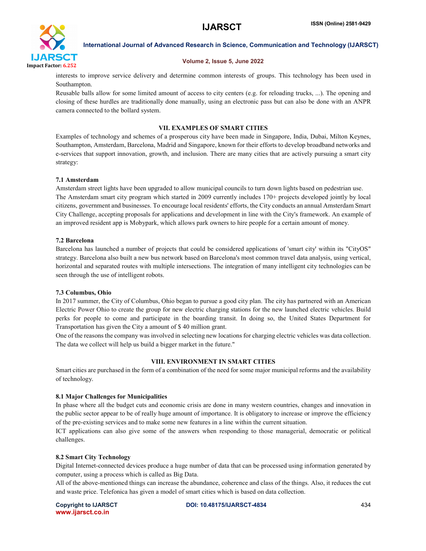

# Volume 2, Issue 5, June 2022

interests to improve service delivery and determine common interests of groups. This technology has been used in Southampton.

Reusable balls allow for some limited amount of access to city centers (e.g. for reloading trucks, ...). The opening and closing of these hurdles are traditionally done manually, using an electronic pass but can also be done with an ANPR camera connected to the bollard system.

# VII. EXAMPLES OF SMART CITIES

Examples of technology and schemes of a prosperous city have been made in Singapore, India, Dubai, Milton Keynes, Southampton, Amsterdam, Barcelona, Madrid and Singapore, known for their efforts to develop broadband networks and e-services that support innovation, growth, and inclusion. There are many cities that are actively pursuing a smart city strategy:

# 7.1 Amsterdam

Amsterdam street lights have been upgraded to allow municipal councils to turn down lights based on pedestrian use. The Amsterdam smart city program which started in 2009 currently includes 170+ projects developed jointly by local citizens, government and businesses. To encourage local residents' efforts, the City conducts an annual Amsterdam Smart City Challenge, accepting proposals for applications and development in line with the City's framework. An example of an improved resident app is Mobypark, which allows park owners to hire people for a certain amount of money.

# 7.2 Barcelona

Barcelona has launched a number of projects that could be considered applications of 'smart city' within its "CityOS" strategy. Barcelona also built a new bus network based on Barcelona's most common travel data analysis, using vertical, horizontal and separated routes with multiple intersections. The integration of many intelligent city technologies can be seen through the use of intelligent robots.

# 7.3 Columbus, Ohio

In 2017 summer, the City of Columbus, Ohio began to pursue a good city plan. The city has partnered with an American Electric Power Ohio to create the group for new electric charging stations for the new launched electric vehicles. Build perks for people to come and participate in the boarding transit. In doing so, the United States Department for Transportation has given the City a amount of \$ 40 million grant.

One of the reasons the company was involved in selecting new locations for charging electric vehicles was data collection. The data we collect will help us build a bigger market in the future."

# VIII. ENVIRONMENT IN SMART CITIES

Smart cities are purchased in the form of a combination of the need for some major municipal reforms and the availability of technology.

# 8.1 Major Challenges for Municipalities

In phase where all the budget cuts and economic crisis are done in many western countries, changes and innovation in the public sector appear to be of really huge amount of importance. It is obligatory to increase or improve the efficiency of the pre-existing services and to make some new features in a line within the current situation.

ICT applications can also give some of the answers when responding to those managerial, democratic or political challenges.

# 8.2 Smart City Technology

Digital Internet-connected devices produce a huge number of data that can be processed using information generated by computer, using a process which is called as Big Data.

All of the above-mentioned things can increase the abundance, coherence and class of the things. Also, it reduces the cut and waste price. Telefonica has given a model of smart cities which is based on data collection.

www.ijarsct.co.in

Copyright to IJARSCT DOI: 10.48175/IJARSCT-4834 434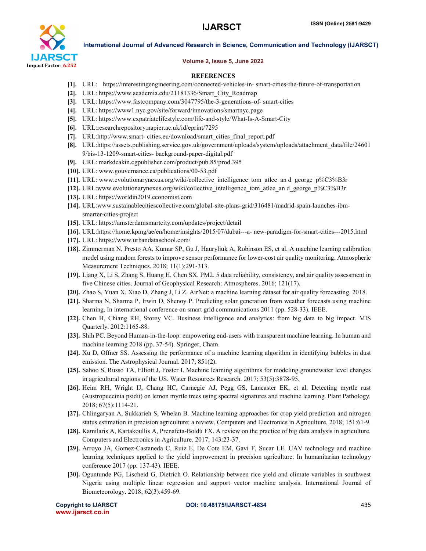

### Volume 2, Issue 5, June 2022

### **REFERENCES**

- [1]. URL: https://interestingengineering.com/connected-vehicles-in- smart-cities-the-future-of-transportation
- [2]. URL: https://www.academia.edu/21181336/Smart\_City\_Roadmap
- [3]. URL: https://www.fastcompany.com/3047795/the-3-generations-of- smart-cities
- [4]. URL: https://www1.nyc.gov/site/forward/innovations/smartnyc.page
- [5]. URL: https://www.expatriatelifestyle.com/life-and-style/What-Is-A-Smart-City
- [6]. URL:researchrepository.napier.ac.uk/id/eprint/7295
- [7]. URL:http://www.smart-cities.eu/download/smart\_cities\_final\_report.pdf
- [8]. URL:https://assets.publishing.service.gov.uk/government/uploads/system/uploads/attachment\_data/file/24601 9/bis-13-1209-smart-cities- background-paper-digital.pdf
- [9]. URL: markdeakin.cgpublisher.com/product/pub.85/prod.395
- [10]. URL: www.gouvernance.ca/publications/00-53.pdf
- [11]. URL: www.evolutionarynexus.org/wiki/collective\_intelligence\_tom\_atlee\_an d\_george\_p%C3%B3r
- [12]. URL:www.evolutionarynexus.org/wiki/collective\_intelligence\_tom\_atlee\_an d\_george\_p%C3%B3r
- [13]. URL: https://worldin2019.economist.com
- [14]. URL:www.sustainablecitiescollective.com/global-site-plans-grid/316481/madrid-spain-launches-ibmsmarter-cities-project
- [15]. URL: https://amsterdamsmartcity.com/updates/project/detail
- [16]. URL:https://home.kpmg/ae/en/home/insights/2015/07/dubai---a- new-paradigm-for-smart-cities---2015.html
- [17]. URL: https://www.urbandataschool.com/
- [18]. Zimmerman N, Presto AA, Kumar SP, Gu J, Hauryliuk A, Robinson ES, et al. A machine learning calibration model using random forests to improve sensor performance for lower-cost air quality monitoring. Atmospheric Measurement Techniques. 2018; 11(1):291-313.
- [19]. Liang X, Li S, Zhang S, Huang H, Chen SX. PM2. 5 data reliability, consistency, and air quality assessment in five Chinese cities. Journal of Geophysical Research: Atmospheres. 2016; 121(17).
- [20]. Zhao S, Yuan X, Xiao D, Zhang J, Li Z. AirNet: a machine learning dataset for air quality forecasting. 2018.
- [21]. Sharma N, Sharma P, Irwin D, Shenoy P. Predicting solar generation from weather forecasts using machine learning. In international conference on smart grid communications 2011 (pp. 528-33). IEEE.
- [22]. Chen H, Chiang RH, Storey VC. Business intelligence and analytics: from big data to big impact. MIS Quarterly. 2012:1165-88.
- [23]. Shih PC. Beyond Human-in-the-loop: empowering end-users with transparent machine learning. In human and machine learning 2018 (pp. 37-54). Springer, Cham.
- [24]. Xu D, Offner SS. Assessing the performance of a machine learning algorithm in identifying bubbles in dust emission. The Astrophysical Journal. 2017; 851(2).
- [25]. Sahoo S, Russo TA, Elliott J, Foster I. Machine learning algorithms for modeling groundwater level changes in agricultural regions of the US. Water Resources Research. 2017; 53(5):3878-95.
- [26]. Heim RH, Wright IJ, Chang HC, Carnegie AJ, Pegg GS, Lancaster EK, et al. Detecting myrtle rust (Austropuccinia psidii) on lemon myrtle trees using spectral signatures and machine learning. Plant Pathology. 2018; 67(5):1114-21.
- [27]. Chlingaryan A, Sukkarieh S, Whelan B. Machine learning approaches for crop yield prediction and nitrogen status estimation in precision agriculture: a review. Computers and Electronics in Agriculture. 2018; 151:61-9.
- [28]. Kamilaris A, Kartakoullis A, Prenafeta-Boldú FX. A review on the practice of big data analysis in agriculture. Computers and Electronics in Agriculture. 2017; 143:23-37.
- [29]. Arroyo JA, Gomez-Castaneda C, Ruiz E, De Cote EM, Gavi F, Sucar LE. UAV technology and machine learning techniques applied to the yield improvement in precision agriculture. In humanitarian technology conference 2017 (pp. 137-43). IEEE.
- [30]. Oguntunde PG, Lischeid G, Dietrich O. Relationship between rice yield and climate variables in southwest Nigeria using multiple linear regression and support vector machine analysis. International Journal of Biometeorology. 2018; 62(3):459-69.